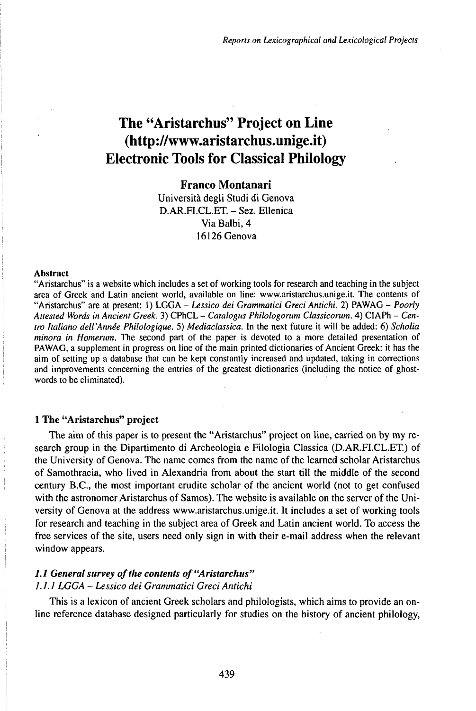# The "Aristarchus" Project on Line (http://www.aristarchus.unige.it) Electronic Tools for Classical Philology

**Franco Montanari**

Università degli Studi di Genova D.AR.FI.CL.ET. - Sez. Ellenica Via Balbi, 4 16126 Genova

#### **Abstract**

"Aristarchus" is a website which includes a set of working tools for research and teaching in the subject area of Greek and Latin ancient world, available on line: www.aristarchus.unige.it. The contents of "Aristarchus" are at present: 1) LGGA - Lessico dei Grammatici Greci Antichi. 2) PAWAG - Poorly *Attested Words in Ancient Greek.* 3) CPhCL - *Catalogus Philologorum Classicorum.* 4) CIAPh - *Centro Italiano dell'Annêe Philologique.* 5) *Mediaclassica.* In the next future it will be added: 6) *Scholia minora in Homerum.* The second part of the paper is devoted to a more detailed presentation of PAWAG, a supplement in progress on line of the main printed dictionaries of Ancient Greek: it has the aim of setting up a database that can be kept constantly increased and updated, taking in corrections and improvements concerning the entries of the greatest dictionaries (including the notice of ghostwords to be eliminated).

# **1 The "Aristarchus" project**

The aim of this paper is to present the "Aristarchus" project on line, carried on by my research group in the Dipartimento di Archeologia e Filologia Classica (D.AR.FI.CL.ET.) of the University of Genova. The name comes from the name of the learned scholar Aristarchus of Samothracia, who Iived in Alexandria from about the start till the middle of the second century B.C., the most important erudite scholar of the ancient world (not to get confused with the astronomer Aristarchus of Samos). The website is available on the server of the University of Genova at the address www.aristarchus.unige.it. It includes a set of working tools for research and teaching in the subject area of Greek and Latin ancient world. To access the free services of the site, users need only sign in with their e-mail address when the relevant window appears.

# *1.1 Generalsurvey ofthe contents of"Aristarchus" 1.1.1 LGGA - Lessico dei Grammatici Greci Antichi*

This is a lexicon of ancient Greek scholars and philologists, which aims to provide an online reference database designed particularly for studies on the history of ancient philology,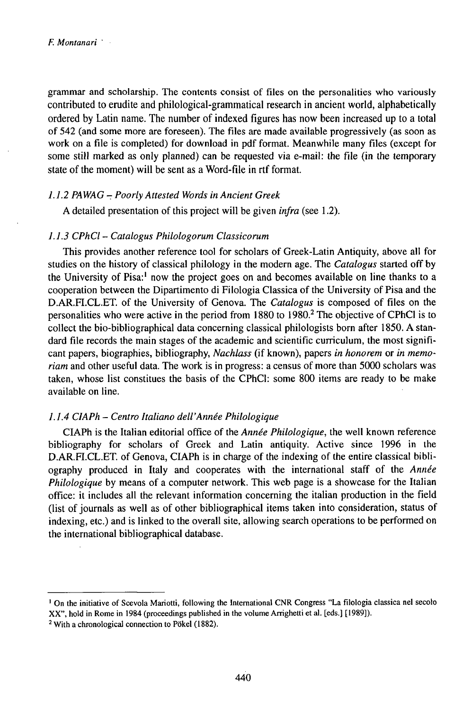grammar and scholarship. The contents consist of files on the personalities who variously contributed to erudite and philological-grammatical research in ancient world, alphabetically ordered by Latin name. The number of indexed figures has now been increased up to a total of 542 (and some more are foreseen). The files are made available progressively (as soon as work on a file is completed) for download in pdf format. Meanwhile many files (except for some still marked as only planned) can be requested via e-mail: the file (in the temporary state of the moment) will be sent as a Word-file in rtf format.

## *1.1.2 PAWAG - Poorly Attested Words in Ancient Greek*

A detailed presentation of this project will be given *infra* (see 1.2).

## *1.1.3 CPhCl- Catalogus Philologorum Classicorum*

This provides another reference tool for scholars of Greek-Latin Antiquity, above all for studies on the history of classical philology in the modern age. The *Catalogus* started off by the University of Pisa:<sup>1</sup> now the project goes on and becomes available on line thanks to a cooperation between the Dipartimento di Filologia Classica of the University of Pisa and the D.AR.FI.CL.ET. of the University of Genova. The *Catalogus* is composed of files on the personalities who were active in the period from 1880 to 1980.<sup>2</sup> The objective of CPhCl is to collect the bio-bibliographical data concerning classical philologists born after 1850. A standard file records the main stages of the academic and scientific curriculum, the most significant papers, biographies, bibliography, *Nachlass* (if known), papers *in honorem* or *in memoriam* and other useful data. The work is in progress: a census of more than 5000 scholars was taken, whose list constitues the basis of the CPhCl: some 800 items are ready to be make available on line.

## *1.1.4 ClAPh* - *Centro Italiano dell'Année Philologique*

CIAPh is the Italian editorial office of the *Année Philologique,* the well known reference bibliography for scholars of Greek and Latin antiquity. Active since 1996 in the D.AR.FI.CL.ET. of Genova, CIAPh is in charge of the indexing of the entire classical bibliography produced in Italy and cooperates with the international staff of the *Année Philologique* by means of a computer network. This web page is a showcase for the Italian office: it includes all the relevant information concerning the italian production in the field (list of journals as well as of other bibliographical items taken into consideration, status of indexing, etc.) and is linked to the overall site, allowing search operations to be performed on the international bibliographical database.

<sup>&</sup>lt;sup>1</sup> On the initiative of Scevola Mariotti, following the International CNR Congress "La filologia classica nel secolo XX", hold in Rome in 1984 (proceedings published in the volume Arrighetti et al. [eds.] [1989]).

<sup>2</sup> With a chronological connection to Pökel (1882).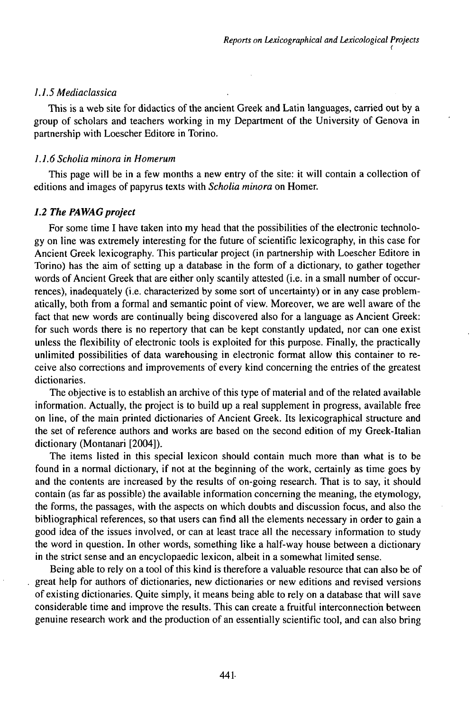# *1.1.5 Mediaclassica*

This is a web site for didactics of the ancient Greek and Latin languages, carried out by a group of scholars and teachers working in my Department of the University of Genova in partnership with Loescher Editore in Torino.

## *1.1.6 Scholia minora in Homerum*

This page will be in a few months a new entry of the site: it will contain a collection of editions and images of papyrus texts with *Scholia minora* on Homer.

## 1.2 The PAWAG project

For some time I have taken into my head that the possibilities of the electronic technology on line was extremely interesting for the future of scientific lexicography, in this case for Ancient Greek lexicography. This particular project (in partnership with Loescher Editore in Torino) has the aim of setting up a database in the form of a dictionary, to gather together words of Ancient Greek that are either only scantily attested (i.e. in a small number of occurrences), inadequately (i.e. characterized by some sort of uncertainty) or in any case problematically, both from a formal and semantic point of view. Moreover, we are well aware of the fact that new words are continually being discovered also for a language as Ancient Greek: for such words there is no repertory that can be kept constantly updated, nor can one exist unless the flexibility of electronic tools is exploited for this purpose. Finally, the practically unlimited possibilities of data warehousing in electronic format allow this container to receive also corrections and improvements of every kind concerning the entries of the greatest dictionaries.

The objective is to establish an archive of this type of material and of the related available information. Actually, the project is to build up a real supplement in progress, available free on line, of the main printed dictionaries of Ancient Greek. Its lexicographical structure and the set of reference authors and works are based on the second edition of my Greek-Italian dictionary (Montanari [2004]).

The items listed in this special lexicon should contain much more than what is to be found in a normal dictionary, if not at the beginning of the work, certainly as time goes by and the contents are increased by the results of on-going research. That is to say, it should contain (as far as possible) the available information concerning the meaning, the etymology, the forms, the passages, with the aspects on which doubts and discussion focus, and also the bibliographical references, so that users can find all the elements necessary in order to gain a good idea of the issues involved, or can at least trace all the necessary information to study the word in question. In other words, something like a half-way house between a dictionary in the strict sense and an encyclopaedic lexicon, albeit in a somewhat limited sense.

Being able to rely on a tool of this kind is therefore a valuable resource that can also be of great help for authors of dictionaries, new dictionaries or new editions and revised versions ofexisting dictionaries. Quite simply, it means being able to rely on a database that will save considerable time and improve the results. This can create a fruitful interconnection between genuine research work and the production of an essentially scientific tool, and can also bring